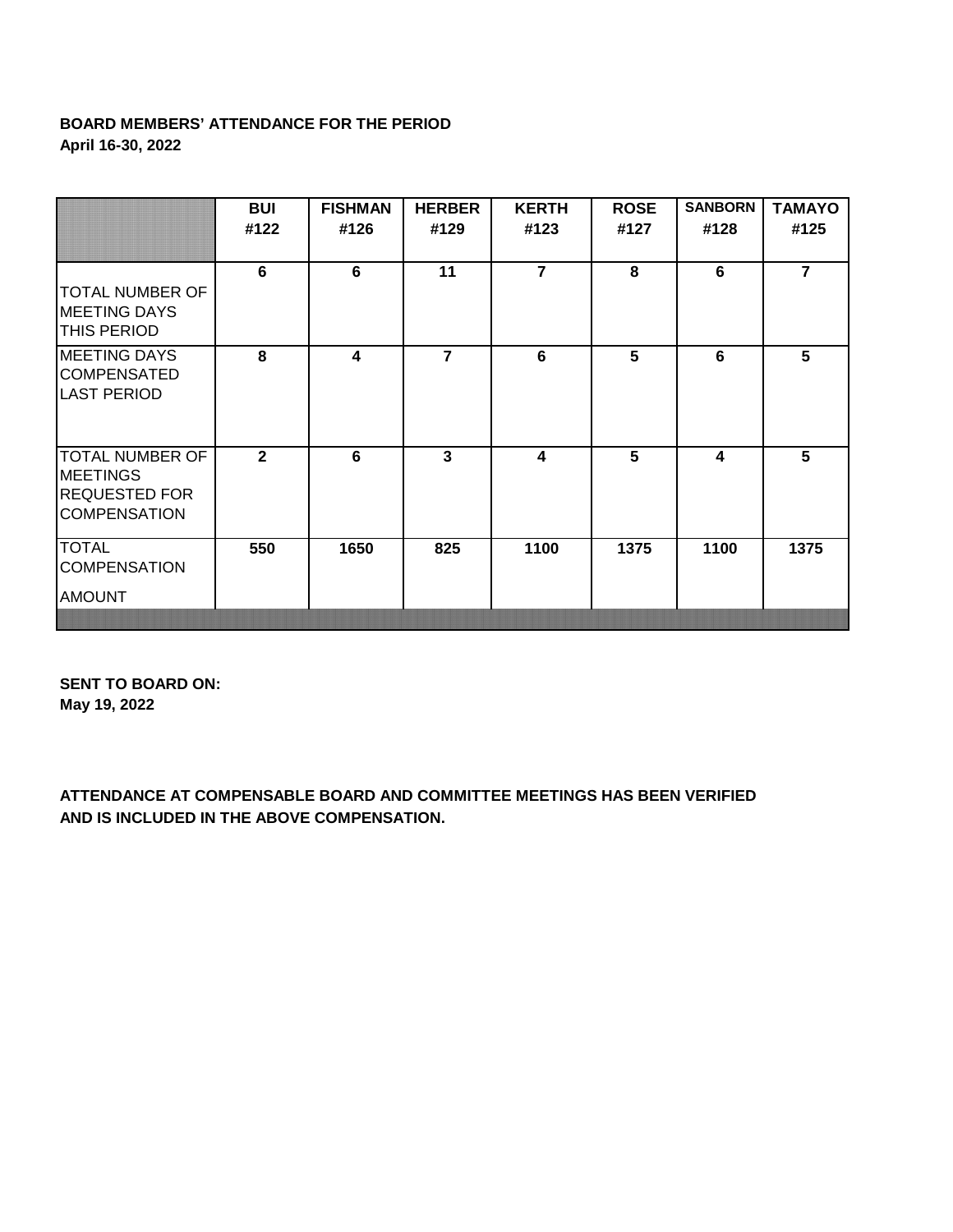## **BOARD MEMBERS' ATTENDANCE FOR THE PERIOD April 16-30, 2022**

|                                                                                   | <b>BUI</b><br>#122 | <b>FISHMAN</b><br>#126 | <b>HERBER</b><br>#129 | <b>KERTH</b><br>#123 | <b>ROSE</b><br>#127 | <b>SANBORN</b><br>#128 | <b>TAMAYO</b><br>#125 |
|-----------------------------------------------------------------------------------|--------------------|------------------------|-----------------------|----------------------|---------------------|------------------------|-----------------------|
| <b>TOTAL NUMBER OF</b><br><b>MEETING DAYS</b><br><b>THIS PERIOD</b>               | 6                  | 6                      | 11                    | $\overline{7}$       | 8                   | 6                      | $\overline{7}$        |
| <b>MEETING DAYS</b><br><b>COMPENSATED</b><br><b>LAST PERIOD</b>                   | 8                  | 4                      | $\overline{7}$        | 6                    | 5                   | 6                      | 5                     |
| TOTAL NUMBER OF<br><b>MEETINGS</b><br><b>REQUESTED FOR</b><br><b>COMPENSATION</b> | $\overline{2}$     | 6                      | $\mathbf{3}$          | 4                    | 5                   | 4                      | 5                     |
| <b>TOTAL</b><br><b>COMPENSATION</b><br><b>AMOUNT</b>                              | 550                | 1650                   | 825                   | 1100                 | 1375                | 1100                   | 1375                  |

**SENT TO BOARD ON: May 19, 2022**

**ATTENDANCE AT COMPENSABLE BOARD AND COMMITTEE MEETINGS HAS BEEN VERIFIED AND IS INCLUDED IN THE ABOVE COMPENSATION.**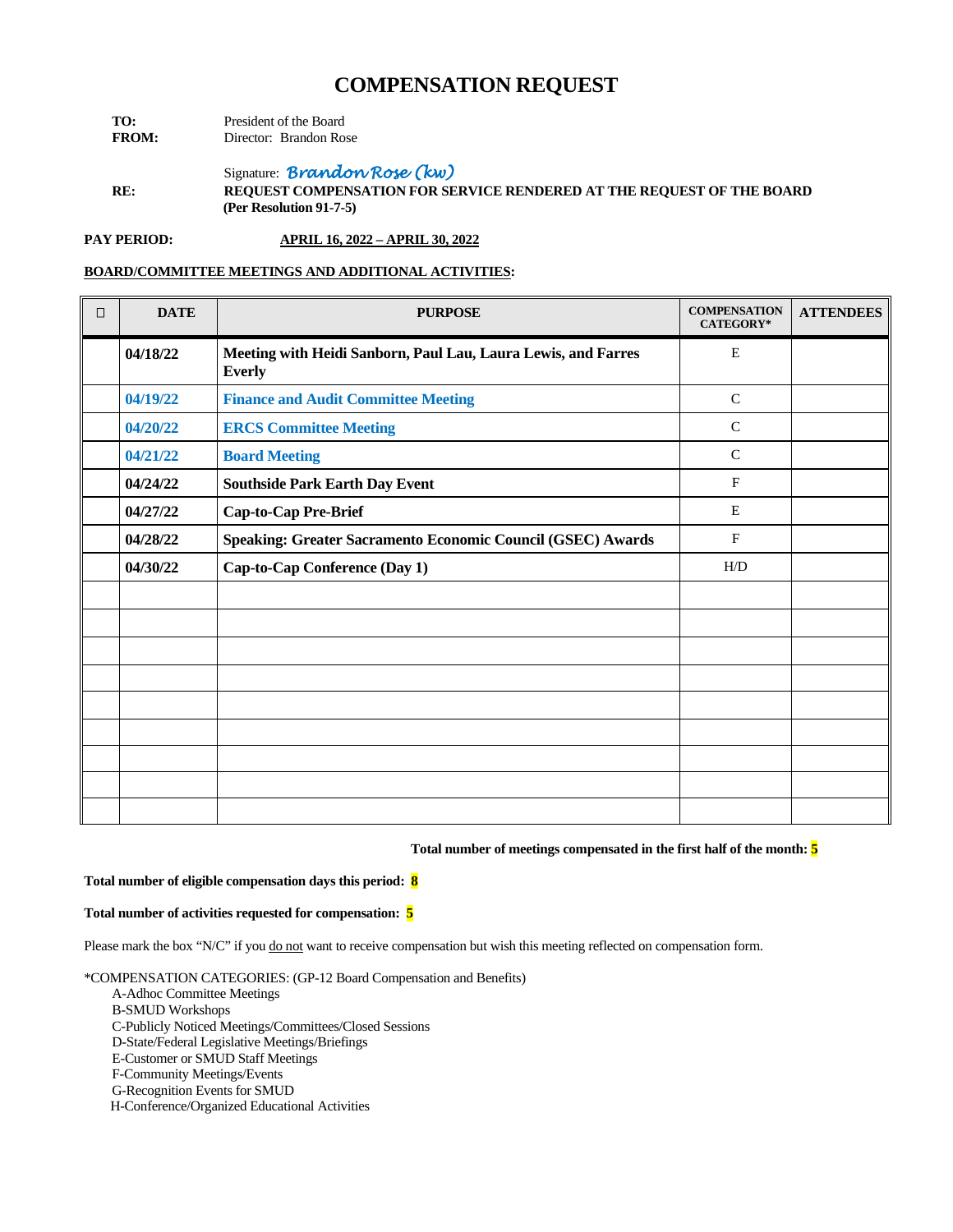| TO:          | President of the Board |                        |  |
|--------------|------------------------|------------------------|--|
| <b>FROM:</b> |                        | Director: Brandon Rose |  |

Signature: *Brandon Rose (kw)*

**RE: REQUEST COMPENSATION FOR SERVICE RENDERED AT THE REQUEST OF THE BOARD (Per Resolution 91-7-5)**

**PAY PERIOD: APRIL 16, 2022 – APRIL 30, 2022**

### **BOARD/COMMITTEE MEETINGS AND ADDITIONAL ACTIVITIES:**

| $\Box$ | <b>DATE</b> | <b>PURPOSE</b>                                                                 | <b>COMPENSATION</b><br><b>CATEGORY*</b> | <b>ATTENDEES</b> |
|--------|-------------|--------------------------------------------------------------------------------|-----------------------------------------|------------------|
|        | 04/18/22    | Meeting with Heidi Sanborn, Paul Lau, Laura Lewis, and Farres<br><b>Everly</b> | E                                       |                  |
|        | 04/19/22    | <b>Finance and Audit Committee Meeting</b>                                     | ${\bf C}$                               |                  |
|        | 04/20/22    | <b>ERCS Committee Meeting</b>                                                  | $\mathsf{C}$                            |                  |
|        | 04/21/22    | <b>Board Meeting</b>                                                           | $\mathsf{C}$                            |                  |
|        | 04/24/22    | <b>Southside Park Earth Day Event</b>                                          | $\mathbf F$                             |                  |
|        | 04/27/22    | Cap-to-Cap Pre-Brief                                                           | E                                       |                  |
|        | 04/28/22    | Speaking: Greater Sacramento Economic Council (GSEC) Awards                    | $\mathbf{F}$                            |                  |
|        | 04/30/22    | Cap-to-Cap Conference (Day 1)                                                  | H/D                                     |                  |
|        |             |                                                                                |                                         |                  |
|        |             |                                                                                |                                         |                  |
|        |             |                                                                                |                                         |                  |
|        |             |                                                                                |                                         |                  |
|        |             |                                                                                |                                         |                  |
|        |             |                                                                                |                                         |                  |
|        |             |                                                                                |                                         |                  |
|        |             |                                                                                |                                         |                  |
|        |             |                                                                                |                                         |                  |

#### **Total number of meetings compensated in the first half of the month: 5**

## **Total number of eligible compensation days this period: 8**

#### **Total number of activities requested for compensation: 5**

Please mark the box "N/C" if you do not want to receive compensation but wish this meeting reflected on compensation form.

- A-Adhoc Committee Meetings
- B-SMUD Workshops
- C-Publicly Noticed Meetings/Committees/Closed Sessions
- D-State/Federal Legislative Meetings/Briefings
- E-Customer or SMUD Staff Meetings
- F-Community Meetings/Events
- G-Recognition Events for SMUD
- H-Conference/Organized Educational Activities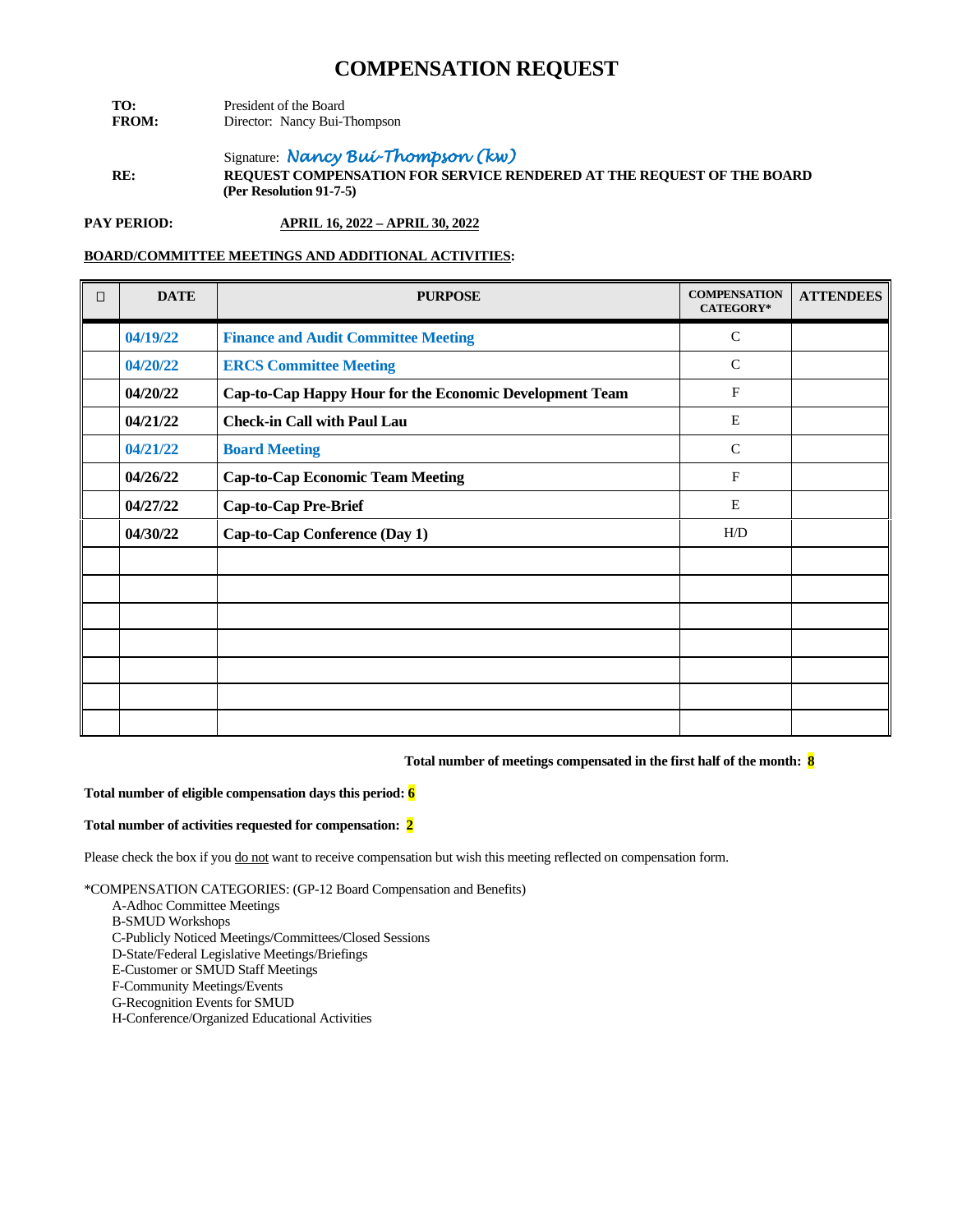- **TO:** President of the Board<br>**FROM:** Director: Nancy Bui-T Director: Nancy Bui-Thompson
- Signature: *Nancy Bui-Thompson (kw)* **RE: REQUEST COMPENSATION FOR SERVICE RENDERED AT THE REQUEST OF THE BOARD (Per Resolution 91-7-5)**

**PAY PERIOD: APRIL 16, 2022 – APRIL 30, 2022**

## **BOARD/COMMITTEE MEETINGS AND ADDITIONAL ACTIVITIES:**

| $\Box$ | <b>DATE</b> | <b>PURPOSE</b>                                          | <b>COMPENSATION</b><br>CATEGORY* | <b>ATTENDEES</b> |
|--------|-------------|---------------------------------------------------------|----------------------------------|------------------|
|        | 04/19/22    | <b>Finance and Audit Committee Meeting</b>              | $\mathcal{C}$                    |                  |
|        | 04/20/22    | <b>ERCS Committee Meeting</b>                           | $\mathsf{C}$                     |                  |
|        | 04/20/22    | Cap-to-Cap Happy Hour for the Economic Development Team | $\mathbf{F}$                     |                  |
|        | 04/21/22    | <b>Check-in Call with Paul Lau</b>                      | E                                |                  |
|        | 04/21/22    | <b>Board Meeting</b>                                    | $\mathsf{C}$                     |                  |
|        | 04/26/22    | <b>Cap-to-Cap Economic Team Meeting</b>                 | $\mathbf F$                      |                  |
|        | 04/27/22    | <b>Cap-to-Cap Pre-Brief</b>                             | E                                |                  |
|        | 04/30/22    | Cap-to-Cap Conference (Day 1)                           | H/D                              |                  |
|        |             |                                                         |                                  |                  |
|        |             |                                                         |                                  |                  |
|        |             |                                                         |                                  |                  |
|        |             |                                                         |                                  |                  |
|        |             |                                                         |                                  |                  |
|        |             |                                                         |                                  |                  |
|        |             |                                                         |                                  |                  |

## **Total number of meetings compensated in the first half of the month: 8**

#### **Total number of eligible compensation days this period: 6**

#### **Total number of activities requested for compensation: 2**

Please check the box if you do not want to receive compensation but wish this meeting reflected on compensation form.

- A-Adhoc Committee Meetings
- B-SMUD Workshops
- C-Publicly Noticed Meetings/Committees/Closed Sessions
- D-State/Federal Legislative Meetings/Briefings
- E-Customer or SMUD Staff Meetings
- F-Community Meetings/Events
- G-Recognition Events for SMUD
- H-Conference/Organized Educational Activities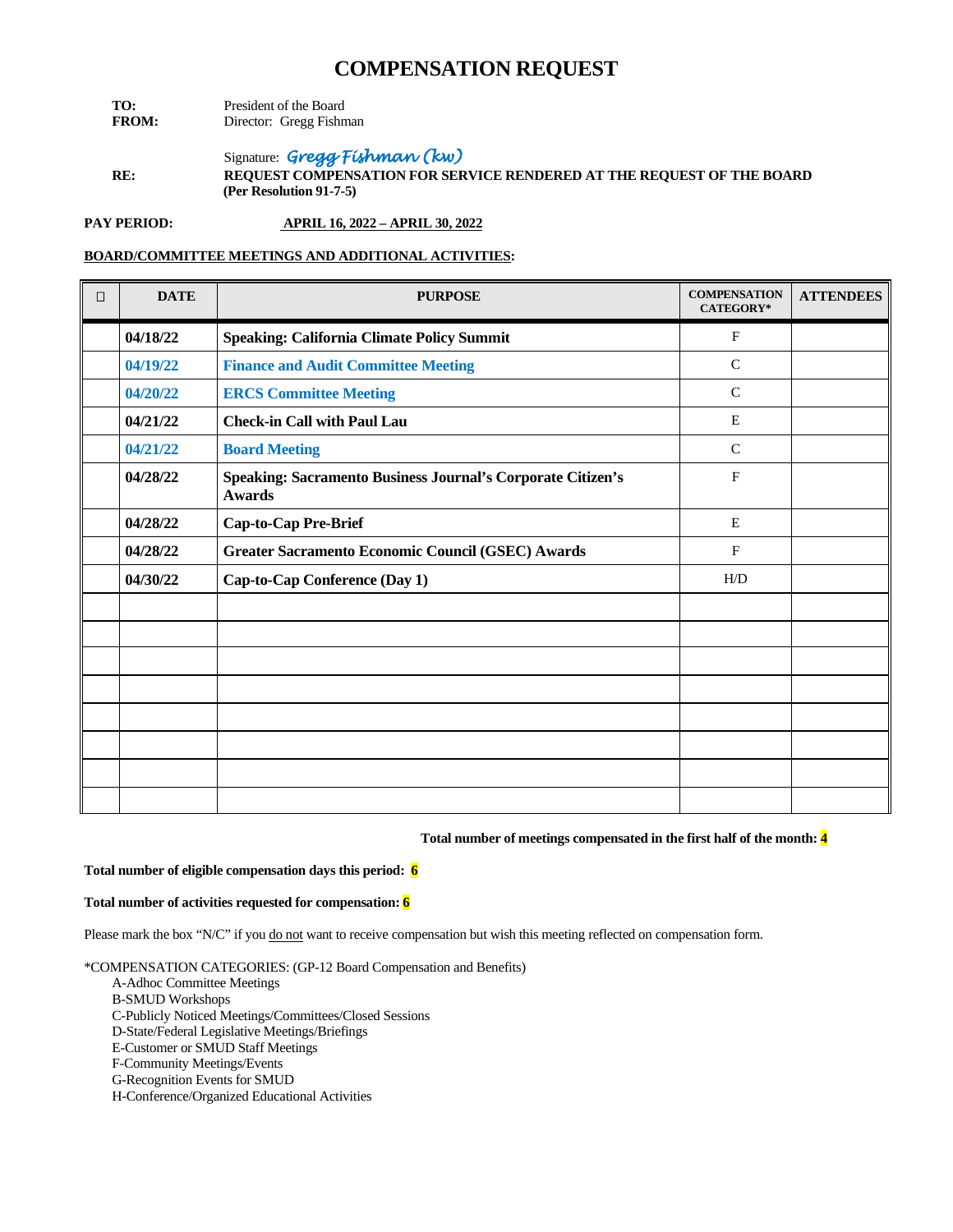- **TO:** President of the Board<br>**FROM:** Director: Gregg Fishn **Director:** Gregg Fishman
- Signature: *Gregg Fishman (kw)*  **RE: REQUEST COMPENSATION FOR SERVICE RENDERED AT THE REQUEST OF THE BOARD (Per Resolution 91-7-5)**

**PAY PERIOD: APRIL 16, 2022 – APRIL 30, 2022**

## **BOARD/COMMITTEE MEETINGS AND ADDITIONAL ACTIVITIES:**

| $\Box$ | <b>DATE</b> | <b>PURPOSE</b>                                                               | <b>COMPENSATION</b><br>CATEGORY* | <b>ATTENDEES</b> |
|--------|-------------|------------------------------------------------------------------------------|----------------------------------|------------------|
|        | 04/18/22    | <b>Speaking: California Climate Policy Summit</b>                            | $\mathbf F$                      |                  |
|        | 04/19/22    | <b>Finance and Audit Committee Meeting</b>                                   | $\mathbf C$                      |                  |
|        | 04/20/22    | <b>ERCS Committee Meeting</b>                                                | $\mathsf{C}$                     |                  |
|        | 04/21/22    | <b>Check-in Call with Paul Lau</b>                                           | E                                |                  |
|        | 04/21/22    | <b>Board Meeting</b>                                                         | $\mathsf{C}$                     |                  |
|        | 04/28/22    | Speaking: Sacramento Business Journal's Corporate Citizen's<br><b>Awards</b> | $\mathbf{F}$                     |                  |
|        | 04/28/22    | Cap-to-Cap Pre-Brief                                                         | E                                |                  |
|        | 04/28/22    | Greater Sacramento Economic Council (GSEC) Awards                            | $\mathbf{F}$                     |                  |
|        | 04/30/22    | Cap-to-Cap Conference (Day 1)                                                | H/D                              |                  |
|        |             |                                                                              |                                  |                  |
|        |             |                                                                              |                                  |                  |
|        |             |                                                                              |                                  |                  |
|        |             |                                                                              |                                  |                  |
|        |             |                                                                              |                                  |                  |
|        |             |                                                                              |                                  |                  |
|        |             |                                                                              |                                  |                  |
|        |             |                                                                              |                                  |                  |

## **Total number of meetings compensated in the first half of the month: 4**

#### **Total number of eligible compensation days this period: 6**

### **Total number of activities requested for compensation: 6**

Please mark the box "N/C" if you do not want to receive compensation but wish this meeting reflected on compensation form.

\*COMPENSATION CATEGORIES: (GP-12 Board Compensation and Benefits)

- A-Adhoc Committee Meetings
- B-SMUD Workshops
- C-Publicly Noticed Meetings/Committees/Closed Sessions

D-State/Federal Legislative Meetings/Briefings

E-Customer or SMUD Staff Meetings

F-Community Meetings/Events

G-Recognition Events for SMUD

H-Conference/Organized Educational Activities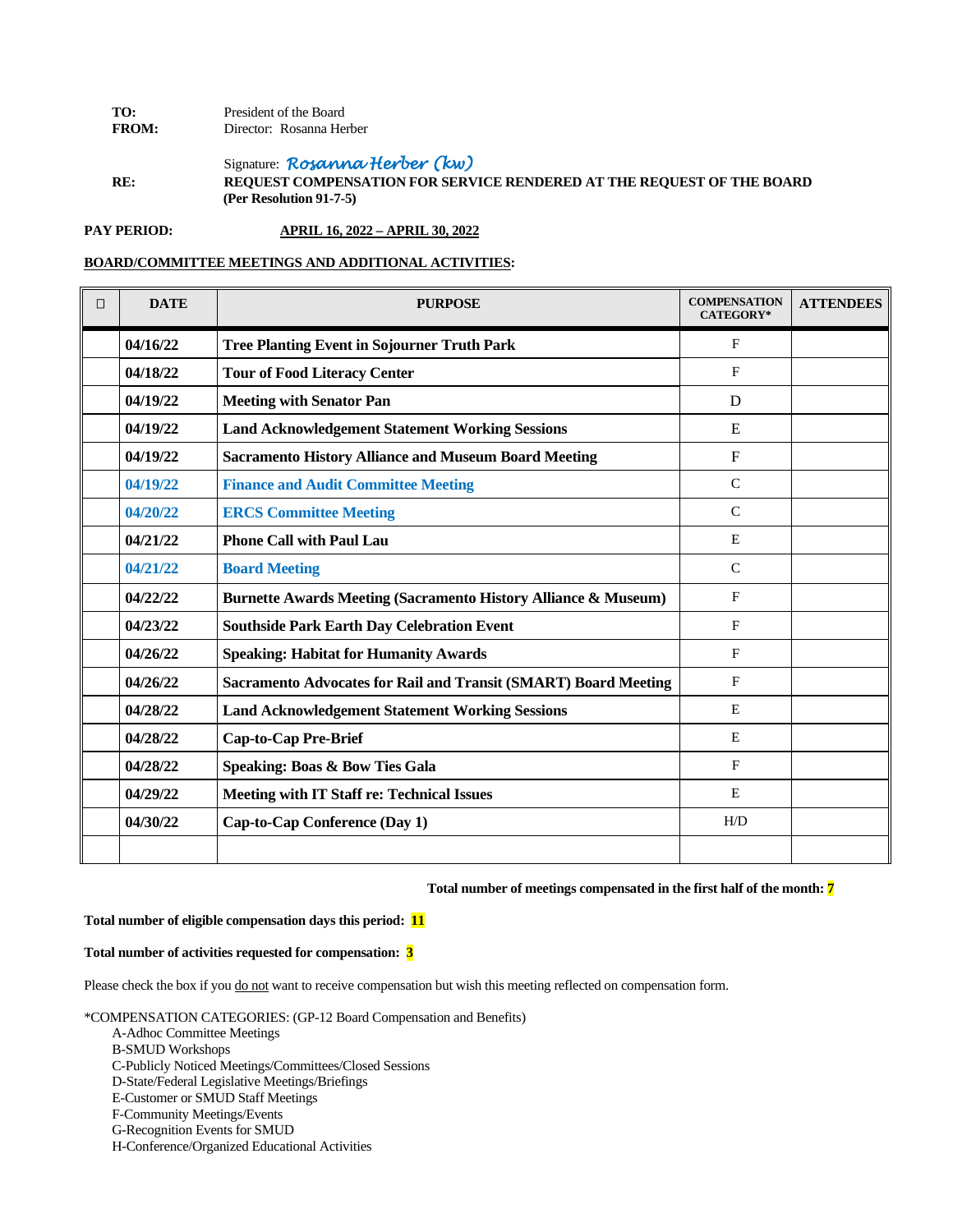| TO:          | President of the Board   |  |
|--------------|--------------------------|--|
| <b>FROM:</b> | Director: Rosanna Herber |  |

Signature: *Rosanna Herber (kw)*

**RE: REQUEST COMPENSATION FOR SERVICE RENDERED AT THE REQUEST OF THE BOARD (Per Resolution 91-7-5)**

**PAY PERIOD: APRIL 16, 2022 – APRIL 30, 2022**

**BOARD/COMMITTEE MEETINGS AND ADDITIONAL ACTIVITIES:**

| $\Box$ | <b>DATE</b> | <b>PURPOSE</b>                                                            | <b>COMPENSATION</b><br><b>CATEGORY*</b> | <b>ATTENDEES</b> |
|--------|-------------|---------------------------------------------------------------------------|-----------------------------------------|------------------|
|        | 04/16/22    | <b>Tree Planting Event in Sojourner Truth Park</b>                        | $\mathbf{F}$                            |                  |
|        | 04/18/22    | <b>Tour of Food Literacy Center</b>                                       | F                                       |                  |
|        | 04/19/22    | <b>Meeting with Senator Pan</b>                                           | D                                       |                  |
|        | 04/19/22    | <b>Land Acknowledgement Statement Working Sessions</b>                    | E                                       |                  |
|        | 04/19/22    | <b>Sacramento History Alliance and Museum Board Meeting</b>               | $\mathbf{F}$                            |                  |
|        | 04/19/22    | <b>Finance and Audit Committee Meeting</b>                                | $\mathsf{C}$                            |                  |
|        | 04/20/22    | <b>ERCS Committee Meeting</b>                                             | $\mathsf{C}$                            |                  |
|        | 04/21/22    | <b>Phone Call with Paul Lau</b>                                           | E                                       |                  |
|        | 04/21/22    | <b>Board Meeting</b>                                                      | $\mathsf{C}$                            |                  |
|        | 04/22/22    | <b>Burnette Awards Meeting (Sacramento History Alliance &amp; Museum)</b> | F                                       |                  |
|        | 04/23/22    | <b>Southside Park Earth Day Celebration Event</b>                         | F                                       |                  |
|        | 04/26/22    | <b>Speaking: Habitat for Humanity Awards</b>                              | $\mathbf{F}$                            |                  |
|        | 04/26/22    | <b>Sacramento Advocates for Rail and Transit (SMART) Board Meeting</b>    | F                                       |                  |
|        | 04/28/22    | <b>Land Acknowledgement Statement Working Sessions</b>                    | E                                       |                  |
|        | 04/28/22    | <b>Cap-to-Cap Pre-Brief</b>                                               | E                                       |                  |
|        | 04/28/22    | <b>Speaking: Boas &amp; Bow Ties Gala</b>                                 | F                                       |                  |
|        | 04/29/22    | <b>Meeting with IT Staff re: Technical Issues</b>                         | E                                       |                  |
|        | 04/30/22    | Cap-to-Cap Conference (Day 1)                                             | H/D                                     |                  |
|        |             |                                                                           |                                         |                  |

## **Total number of meetings compensated in the first half of the month: 7**

#### **Total number of eligible compensation days this period: 11**

#### **Total number of activities requested for compensation: 3**

Please check the box if you do not want to receive compensation but wish this meeting reflected on compensation form.

\*COMPENSATION CATEGORIES: (GP-12 Board Compensation and Benefits)

A-Adhoc Committee Meetings

- C-Publicly Noticed Meetings/Committees/Closed Sessions
- D-State/Federal Legislative Meetings/Briefings
- E-Customer or SMUD Staff Meetings
- F-Community Meetings/Events
- G-Recognition Events for SMUD
- H-Conference/Organized Educational Activities

B-SMUD Workshops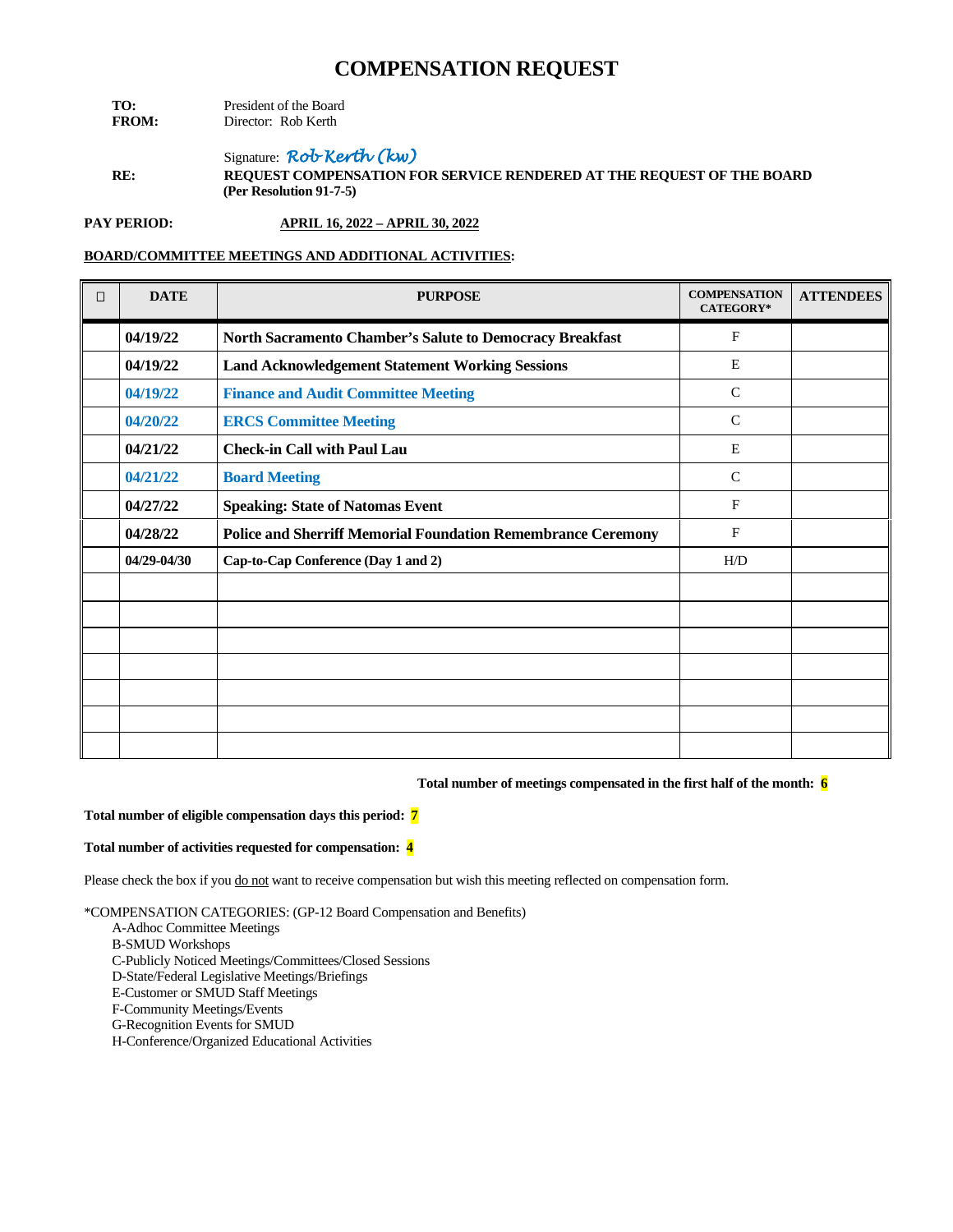| TO:          | President of the Board |  |  |
|--------------|------------------------|--|--|
| <b>FROM:</b> | Director: Rob Kerth    |  |  |

Signature: *Rob Kerth (kw)* **RE: REQUEST COMPENSATION FOR SERVICE RENDERED AT THE REQUEST OF THE BOARD (Per Resolution 91-7-5)**

**PAY PERIOD: APRIL 16, 2022 – APRIL 30, 2022**

## **BOARD/COMMITTEE MEETINGS AND ADDITIONAL ACTIVITIES:**

| $\Box$ | <b>DATE</b> | <b>PURPOSE</b>                                                      | <b>COMPENSATION</b><br>CATEGORY* | <b>ATTENDEES</b> |
|--------|-------------|---------------------------------------------------------------------|----------------------------------|------------------|
|        | 04/19/22    | North Sacramento Chamber's Salute to Democracy Breakfast            | $\mathbf{F}$                     |                  |
|        | 04/19/22    | <b>Land Acknowledgement Statement Working Sessions</b>              | E                                |                  |
|        | 04/19/22    | <b>Finance and Audit Committee Meeting</b>                          | $\mathbf C$                      |                  |
|        | 04/20/22    | <b>ERCS Committee Meeting</b>                                       | $\mathcal{C}$                    |                  |
|        | 04/21/22    | <b>Check-in Call with Paul Lau</b>                                  | E                                |                  |
|        | 04/21/22    | <b>Board Meeting</b>                                                | $\mathcal{C}$                    |                  |
|        | 04/27/22    | <b>Speaking: State of Natomas Event</b>                             | F                                |                  |
|        | 04/28/22    | <b>Police and Sherriff Memorial Foundation Remembrance Ceremony</b> | $\mathbf{F}$                     |                  |
|        | 04/29-04/30 | Cap-to-Cap Conference (Day 1 and 2)                                 | H/D                              |                  |
|        |             |                                                                     |                                  |                  |
|        |             |                                                                     |                                  |                  |
|        |             |                                                                     |                                  |                  |
|        |             |                                                                     |                                  |                  |
|        |             |                                                                     |                                  |                  |
|        |             |                                                                     |                                  |                  |
|        |             |                                                                     |                                  |                  |

#### **Total number of meetings compensated in the first half of the month: 6**

#### **Total number of eligible compensation days this period: 7**

## **Total number of activities requested for compensation: 4**

Please check the box if you do not want to receive compensation but wish this meeting reflected on compensation form.

- A-Adhoc Committee Meetings
- B-SMUD Workshops
- C-Publicly Noticed Meetings/Committees/Closed Sessions
- D-State/Federal Legislative Meetings/Briefings
- E-Customer or SMUD Staff Meetings
- F-Community Meetings/Events
- G-Recognition Events for SMUD
- H-Conference/Organized Educational Activities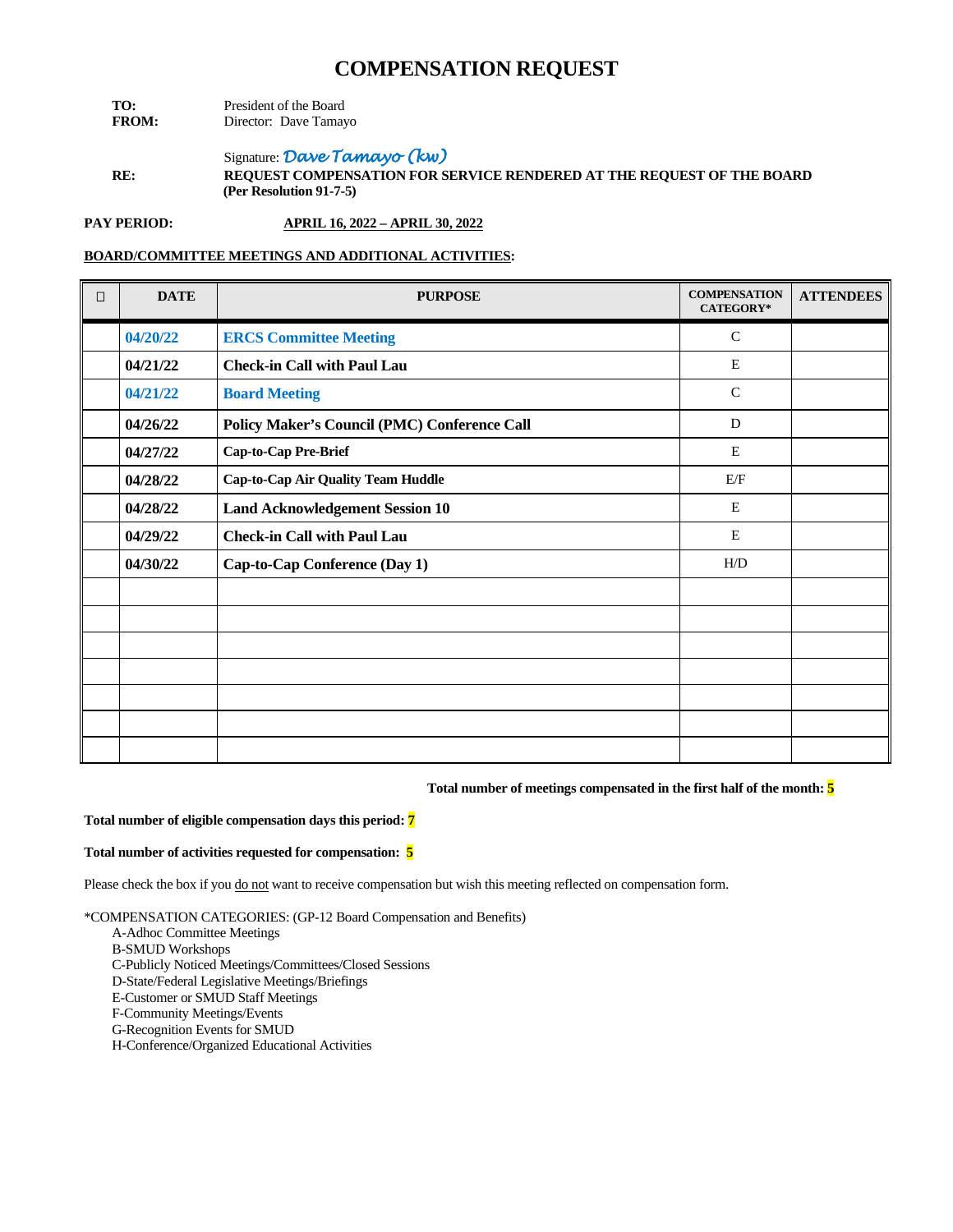- **TO:** President of the Board<br>**FROM:** Director: Dave Tamay **Director:** Dave Tamayo
- Signature: *Dave Tamayo (kw)* **RE: REQUEST COMPENSATION FOR SERVICE RENDERED AT THE REQUEST OF THE BOARD (Per Resolution 91-7-5)**

**PAY PERIOD: APRIL 16, 2022 – APRIL 30, 2022**

## **BOARD/COMMITTEE MEETINGS AND ADDITIONAL ACTIVITIES:**

| $\Box$ | <b>DATE</b> | <b>PURPOSE</b>                               | <b>COMPENSATION</b><br>CATEGORY* | <b>ATTENDEES</b> |
|--------|-------------|----------------------------------------------|----------------------------------|------------------|
|        | 04/20/22    | <b>ERCS Committee Meeting</b>                | $\mathcal{C}$                    |                  |
|        | 04/21/22    | <b>Check-in Call with Paul Lau</b>           | E                                |                  |
|        | 04/21/22    | <b>Board Meeting</b>                         | $\mathsf{C}$                     |                  |
|        | 04/26/22    | Policy Maker's Council (PMC) Conference Call | D                                |                  |
|        | 04/27/22    | Cap-to-Cap Pre-Brief                         | E                                |                  |
|        | 04/28/22    | <b>Cap-to-Cap Air Quality Team Huddle</b>    | E/F                              |                  |
|        | 04/28/22    | <b>Land Acknowledgement Session 10</b>       | E                                |                  |
|        | 04/29/22    | <b>Check-in Call with Paul Lau</b>           | E                                |                  |
|        | 04/30/22    | Cap-to-Cap Conference (Day 1)                | H/D                              |                  |
|        |             |                                              |                                  |                  |
|        |             |                                              |                                  |                  |
|        |             |                                              |                                  |                  |
|        |             |                                              |                                  |                  |
|        |             |                                              |                                  |                  |
|        |             |                                              |                                  |                  |
|        |             |                                              |                                  |                  |

#### **Total number of meetings compensated in the first half of the month: 5**

#### **Total number of eligible compensation days this period: 7**

#### **Total number of activities requested for compensation: 5**

Please check the box if you do not want to receive compensation but wish this meeting reflected on compensation form.

- A-Adhoc Committee Meetings
- B-SMUD Workshops
- C-Publicly Noticed Meetings/Committees/Closed Sessions
- D-State/Federal Legislative Meetings/Briefings
- E-Customer or SMUD Staff Meetings
- F-Community Meetings/Events
- G-Recognition Events for SMUD
- H-Conference/Organized Educational Activities